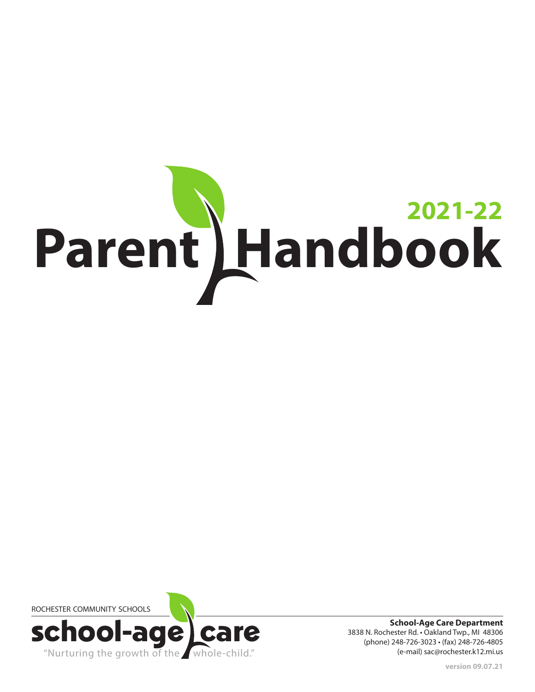# Parent Handbook **2021-22**



**School-Age Care Department** 3838 N. Rochester Rd. • Oakland Twp., MI 48306 (phone) 248-726-3023 • (fax) 248-726-4805 (e-mail) sac@rochester.k12.mi.us

**version 09.07.21**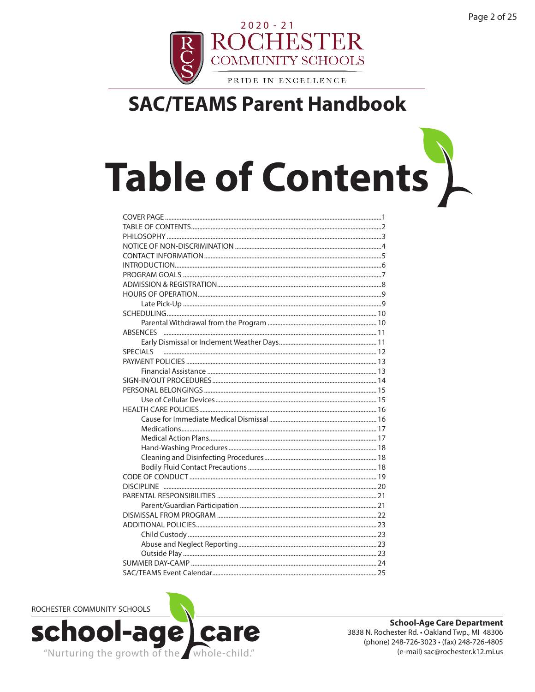

# **Table of Contents**

| SAC/TEAMS Event Calendar |
|--------------------------|

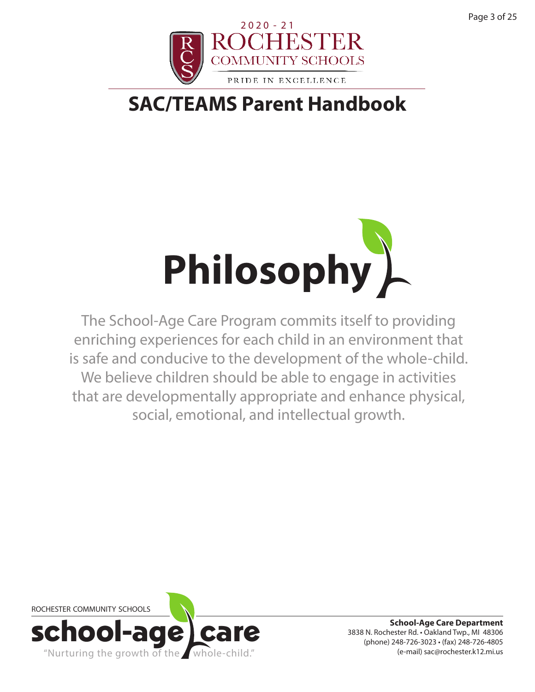



The School-Age Care Program commits itself to providing enriching experiences for each child in an environment that is safe and conducive to the development of the whole-child. We believe children should be able to engage in activities that are developmentally appropriate and enhance physical, social, emotional, and intellectual growth.

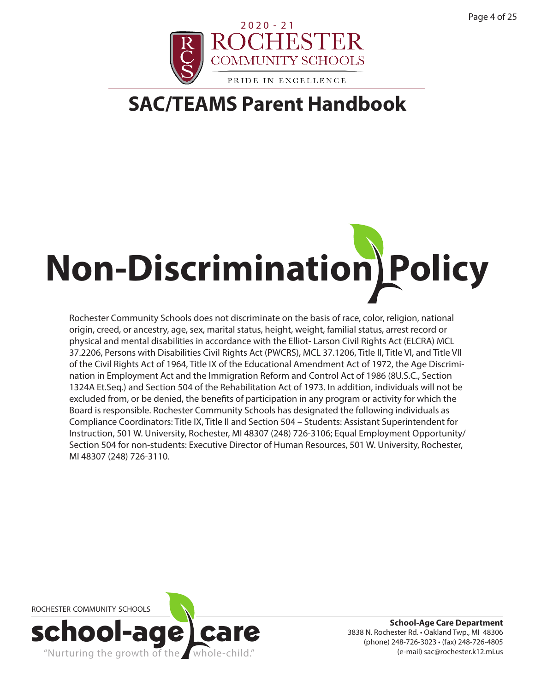

# **Non-Discrimination Policy**

Rochester Community Schools does not discriminate on the basis of race, color, religion, national origin, creed, or ancestry, age, sex, marital status, height, weight, familial status, arrest record or physical and mental disabilities in accordance with the Elliot- Larson Civil Rights Act (ELCRA) MCL 37.2206, Persons with Disabilities Civil Rights Act (PWCRS), MCL 37.1206, Title II, Title VI, and Title VII of the Civil Rights Act of 1964, Title IX of the Educational Amendment Act of 1972, the Age Discrimination in Employment Act and the Immigration Reform and Control Act of 1986 (8U.S.C., Section 1324A Et.Seq.) and Section 504 of the Rehabilitation Act of 1973. In addition, individuals will not be excluded from, or be denied, the benefits of participation in any program or activity for which the Board is responsible. Rochester Community Schools has designated the following individuals as Compliance Coordinators: Title IX, Title II and Section 504 – Students: Assistant Superintendent for Instruction, 501 W. University, Rochester, MI 48307 (248) 726-3106; Equal Employment Opportunity/ Section 504 for non-students: Executive Director of Human Resources, 501 W. University, Rochester, MI 48307 (248) 726-3110.

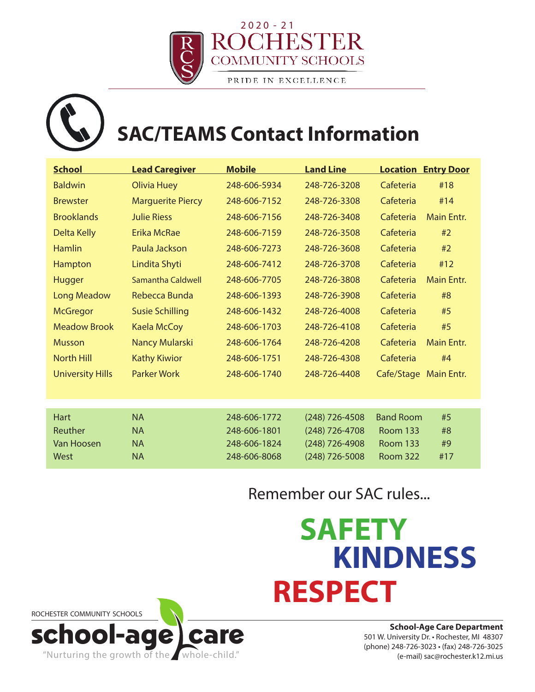

## **SAC/TEAMS Contact Information**

| <b>School</b>           | <b>Lead Caregiver</b>    | <b>Mobile</b> | <b>Land Line</b> | <b>Location Entry Door</b>     |
|-------------------------|--------------------------|---------------|------------------|--------------------------------|
| <b>Baldwin</b>          | <b>Olivia Huey</b>       | 248-606-5934  | 248-726-3208     | Cafeteria<br>#18               |
| <b>Brewster</b>         | <b>Marguerite Piercy</b> | 248-606-7152  | 248-726-3308     | Cafeteria<br>#14               |
| <b>Brooklands</b>       | <b>Julie Riess</b>       | 248-606-7156  | 248-726-3408     | Cafeteria<br><b>Main Entr.</b> |
| Delta Kelly             | Erika McRae              | 248-606-7159  | 248-726-3508     | Cafeteria<br>#2                |
| <b>Hamlin</b>           | Paula Jackson            | 248-606-7273  | 248-726-3608     | Cafeteria<br>#2                |
| Hampton                 | Lindita Shyti            | 248-606-7412  | 248-726-3708     | Cafeteria<br>#12               |
| <b>Hugger</b>           | Samantha Caldwell        | 248-606-7705  | 248-726-3808     | <b>Main Entr.</b><br>Cafeteria |
| <b>Long Meadow</b>      | Rebecca Bunda            | 248-606-1393  | 248-726-3908     | Cafeteria<br>#8                |
| <b>McGregor</b>         | <b>Susie Schilling</b>   | 248-606-1432  | 248-726-4008     | Cafeteria<br>#5                |
| <b>Meadow Brook</b>     | <b>Kaela McCoy</b>       | 248-606-1703  | 248-726-4108     | Cafeteria<br>#5                |
| <b>Musson</b>           | Nancy Mularski           | 248-606-1764  | 248-726-4208     | Cafeteria<br><b>Main Entr.</b> |
| <b>North Hill</b>       | <b>Kathy Kiwior</b>      | 248-606-1751  | 248-726-4308     | Cafeteria<br>#4                |
| <b>University Hills</b> | <b>Parker Work</b>       | 248-606-1740  | 248-726-4408     | Cafe/Stage Main Entr.          |
|                         |                          |               |                  |                                |
|                         |                          |               |                  |                                |
| <b>Hart</b>             | <b>NA</b>                | 248-606-1772  | $(248)$ 726-4508 | <b>Band Room</b><br>#5         |
| Reuther                 | <b>NA</b>                | 248-606-1801  | $(248)$ 726-4708 | <b>Room 133</b><br>#8          |
| <b>Van Hoosen</b>       | <b>NA</b>                | 248-606-1824  | $(248)$ 726-4908 | <b>Room 133</b><br>#9          |
| West                    | <b>NA</b>                | 248-606-8068  | (248) 726-5008   | Room 322<br>#17                |

### Remember our SAC rules...

## **SAFETY KINDNESS RESPECT**



**School-Age Care Department** 501 W. University Dr. • Rochester, MI 48307 (phone) 248-726-3023 • (fax) 248-726-3025 (e-mail) sac@rochester.k12.mi.us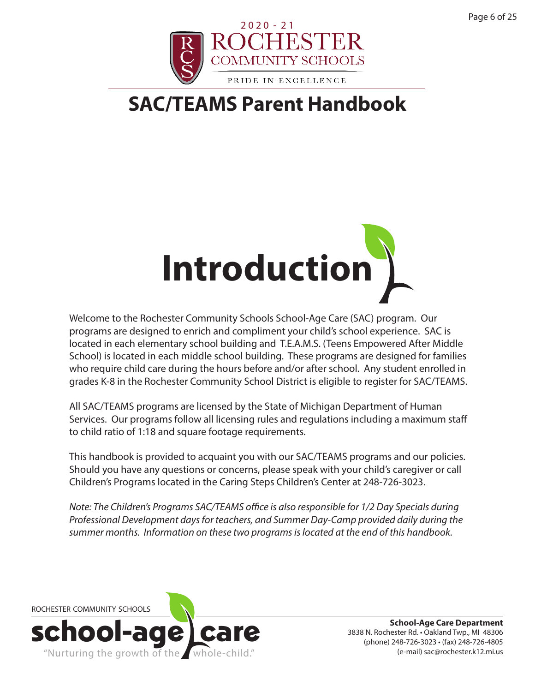



Welcome to the Rochester Community Schools School-Age Care (SAC) program. Our programs are designed to enrich and compliment your child's school experience. SAC is located in each elementary school building and T.E.A.M.S. (Teens Empowered After Middle School) is located in each middle school building. These programs are designed for families who require child care during the hours before and/or after school. Any student enrolled in grades K-8 in the Rochester Community School District is eligible to register for SAC/TEAMS.

All SAC/TEAMS programs are licensed by the State of Michigan Department of Human Services. Our programs follow all licensing rules and regulations including a maximum staff to child ratio of 1:18 and square footage requirements.

This handbook is provided to acquaint you with our SAC/TEAMS programs and our policies. Should you have any questions or concerns, please speak with your child's caregiver or call Children's Programs located in the Caring Steps Children's Center at 248-726-3023.

*Note: The Children's Programs SAC/TEAMS office is also responsible for 1/2 Day Specials during Professional Development days for teachers, and Summer Day-Camp provided daily during the summer months. Information on these two programs is located at the end of this handbook.*

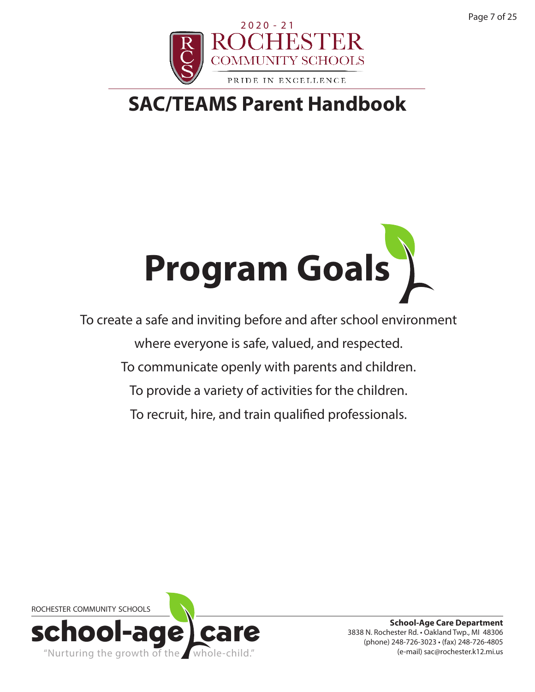Page 7 of 25



## **SAC/TEAMS Parent Handbook**



To create a safe and inviting before and after school environment where everyone is safe, valued, and respected. To communicate openly with parents and children. To provide a variety of activities for the children. To recruit, hire, and train qualified professionals.

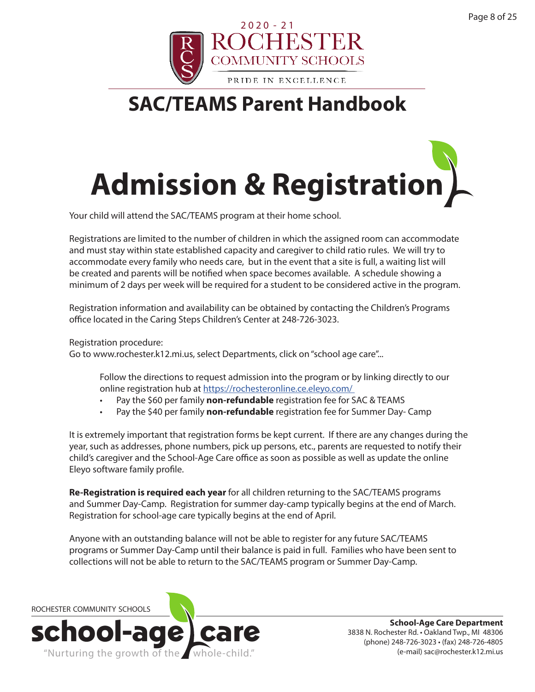



Your child will attend the SAC/TEAMS program at their home school.

Registrations are limited to the number of children in which the assigned room can accommodate and must stay within state established capacity and caregiver to child ratio rules. We will try to accommodate every family who needs care, but in the event that a site is full, a waiting list will be created and parents will be notified when space becomes available. A schedule showing a minimum of 2 days per week will be required for a student to be considered active in the program.

Registration information and availability can be obtained by contacting the Children's Programs office located in the Caring Steps Children's Center at 248-726-3023.

Registration procedure:

Go to www.rochester.k12.mi.us, select Departments, click on "school age care"...

Follow the directions to request admission into the program or by linking directly to our online registration hub at https://rochesteronline.ce.eleyo.com/

- Pay the \$60 per family **non-refundable** registration fee for SAC & TEAMS
- Pay the \$40 per family **non-refundable** registration fee for Summer Day- Camp

It is extremely important that registration forms be kept current. If there are any changes during the year, such as addresses, phone numbers, pick up persons, etc., parents are requested to notify their child's caregiver and the School-Age Care office as soon as possible as well as update the online Eleyo software family profile.

**Re-Registration is required each year** for all children returning to the SAC/TEAMS programs and Summer Day-Camp. Registration for summer day-camp typically begins at the end of March. Registration for school-age care typically begins at the end of April.

Anyone with an outstanding balance will not be able to register for any future SAC/TEAMS programs or Summer Day-Camp until their balance is paid in full. Families who have been sent to collections will not be able to return to the SAC/TEAMS program or Summer Day-Camp.

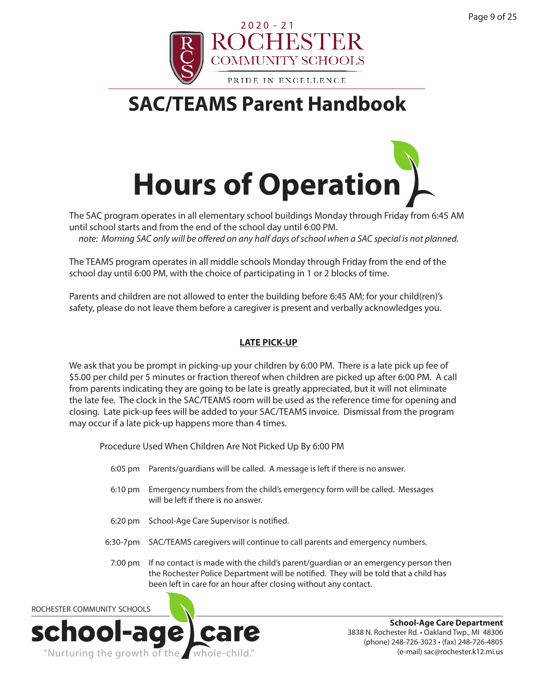



The SAC program operates in all elementary school buildings Monday through Friday from 6:45 AM until school starts and from the end of the school day until 6:00 PM. *note: Morning SAC only will be offered on any half days of school when a SAC special is not planned.* 

The TEAMS program operates in all middle schools Monday through Friday from the end of the school day until 6:00 PM, with the choice of participating in 1 or 2 blocks of time.

Parents and children are not allowed to enter the building before 6:45 AM; for your child(ren)'s safety, please do not leave them before a caregiver is present and verbally acknowledges you.

#### **LATE PICK-UP**

We ask that you be prompt in picking-up your children by 6:00 PM. There is a late pick up fee of \$5.00 per child per 5 minutes or fraction thereof when children are picked up after 6:00 PM. A call from parents indicating they are going to be late is greatly appreciated, but it will not eliminate the late fee. The clock in the SAC/TEAMS room will be used as the reference time for opening and closing. Late pick-up fees will be added to your SAC/TEAMS invoice. Dismissal from the program may occur if a late pick-up happens more than 4 times.

Procedure Used When Children Are Not Picked Up By 6:00 PM

- 6:05 pm Parents/guardians will be called. A message is left if there is no answer.
- 6:10 pm Emergency numbers from the child's emergency form will be called. Messages will be left if there is no answer.
- 6:20 pm School-Age Care Supervisor is notified.
- 6:30-7pm SAC/TEAMS caregivers will continue to call parents and emergency numbers.
- 7:00 pm If no contact is made with the child's parent/guardian or an emergency person then the Rochester Police Department will be notified. They will be told that a child has been left in care for an hour after closing without any contact.

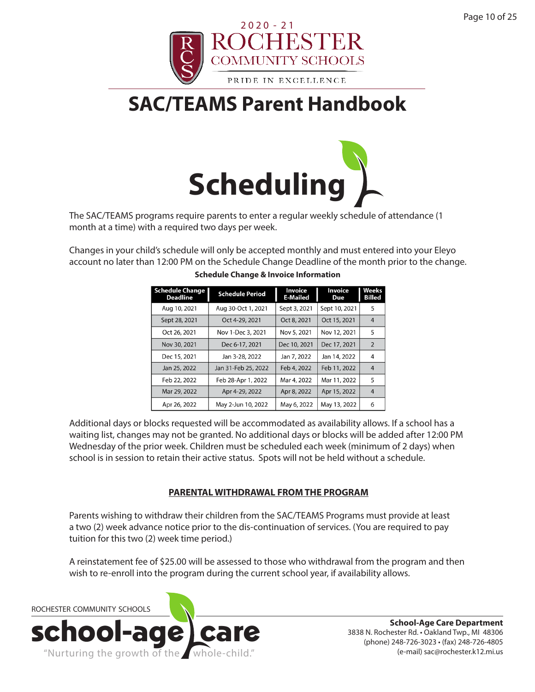



The SAC/TEAMS programs require parents to enter a regular weekly schedule of attendance (1 month at a time) with a required two days per week.

Changes in your child's schedule will only be accepted monthly and must entered into your Eleyo account no later than 12:00 PM on the Schedule Change Deadline of the month prior to the change.

| <b>Schedule Change</b><br><b>Deadline</b> | <b>Schedule Period</b> | Invoice<br><b>E-Mailed</b> | <b>Invoice</b><br>Due | <b>Weeks</b><br><b>Billed</b> |
|-------------------------------------------|------------------------|----------------------------|-----------------------|-------------------------------|
| Aug 10, 2021                              | Aug 30-Oct 1, 2021     | Sept 3, 2021               | Sept 10, 2021         | 5                             |
| Sept 28, 2021                             | Oct 4-29, 2021         | Oct 8, 2021                | Oct 15, 2021          | $\overline{4}$                |
| Oct 26, 2021                              | Nov 1-Dec 3, 2021      | Nov 5, 2021                | Nov 12, 2021          | 5                             |
| Nov 30, 2021                              | Dec 6-17, 2021         | Dec 10, 2021               | Dec 17, 2021          | 2                             |
| Dec 15, 2021                              | Jan 3-28, 2022         | Jan 7, 2022                | Jan 14, 2022          | 4                             |
| Jan 25, 2022                              | Jan 31-Feb 25, 2022    | Feb 4, 2022                | Feb 11, 2022          | $\overline{4}$                |
| Feb 22, 2022                              | Feb 28-Apr 1, 2022     | Mar 4, 2022                | Mar 11, 2022          | 5                             |
| Mar 29, 2022                              | Apr 4-29, 2022         | Apr 8, 2022                | Apr 15, 2022          | $\overline{4}$                |
| Apr 26, 2022                              | May 2-Jun 10, 2022     | May 6, 2022                | May 13, 2022          | 6                             |

#### **Schedule Change & Invoice Information**

Additional days or blocks requested will be accommodated as availability allows. If a school has a waiting list, changes may not be granted. No additional days or blocks will be added after 12:00 PM Wednesday of the prior week. Children must be scheduled each week (minimum of 2 days) when school is in session to retain their active status. Spots will not be held without a schedule.

#### **PARENTAL WITHDRAWAL FROM THE PROGRAM**

Parents wishing to withdraw their children from the SAC/TEAMS Programs must provide at least a two (2) week advance notice prior to the dis-continuation of services. (You are required to pay tuition for this two (2) week time period.)

A reinstatement fee of \$25.00 will be assessed to those who withdrawal from the program and then wish to re-enroll into the program during the current school year, if availability allows.

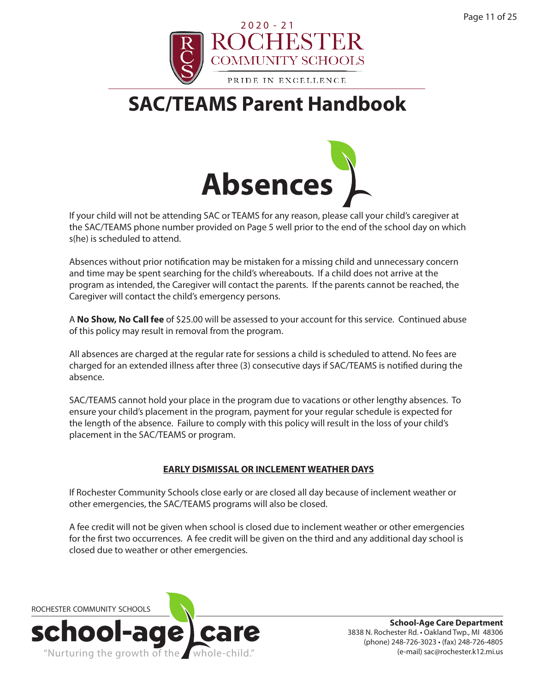



If your child will not be attending SAC or TEAMS for any reason, please call your child's caregiver at the SAC/TEAMS phone number provided on Page 5 well prior to the end of the school day on which s(he) is scheduled to attend.

Absences without prior notification may be mistaken for a missing child and unnecessary concern and time may be spent searching for the child's whereabouts. If a child does not arrive at the program as intended, the Caregiver will contact the parents. If the parents cannot be reached, the Caregiver will contact the child's emergency persons.

A **No Show, No Call fee** of \$25.00 will be assessed to your account for this service. Continued abuse of this policy may result in removal from the program.

All absences are charged at the regular rate for sessions a child is scheduled to attend. No fees are charged for an extended illness after three (3) consecutive days if SAC/TEAMS is notified during the absence.

SAC/TEAMS cannot hold your place in the program due to vacations or other lengthy absences. To ensure your child's placement in the program, payment for your regular schedule is expected for the length of the absence. Failure to comply with this policy will result in the loss of your child's placement in the SAC/TEAMS or program.

#### **EARLY DISMISSAL OR INCLEMENT WEATHER DAYS**

If Rochester Community Schools close early or are closed all day because of inclement weather or other emergencies, the SAC/TEAMS programs will also be closed.

A fee credit will not be given when school is closed due to inclement weather or other emergencies for the first two occurrences. A fee credit will be given on the third and any additional day school is closed due to weather or other emergencies.

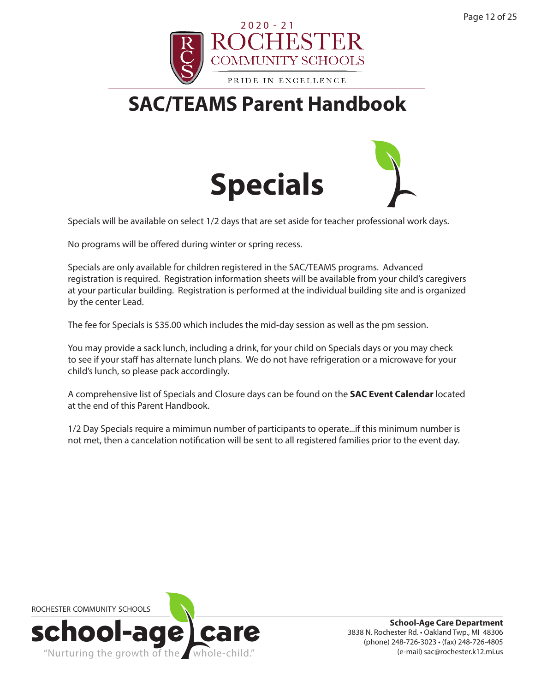



Specials will be available on select 1/2 days that are set aside for teacher professional work days.

No programs will be offered during winter or spring recess.

Specials are only available for children registered in the SAC/TEAMS programs. Advanced registration is required. Registration information sheets will be available from your child's caregivers at your particular building. Registration is performed at the individual building site and is organized by the center Lead.

The fee for Specials is \$35.00 which includes the mid-day session as well as the pm session.

You may provide a sack lunch, including a drink, for your child on Specials days or you may check to see if your staff has alternate lunch plans. We do not have refrigeration or a microwave for your child's lunch, so please pack accordingly.

A comprehensive list of Specials and Closure days can be found on the **SAC Event Calendar** located at the end of this Parent Handbook.

1/2 Day Specials require a mimimun number of participants to operate...if this minimum number is not met, then a cancelation notification will be sent to all registered families prior to the event day.

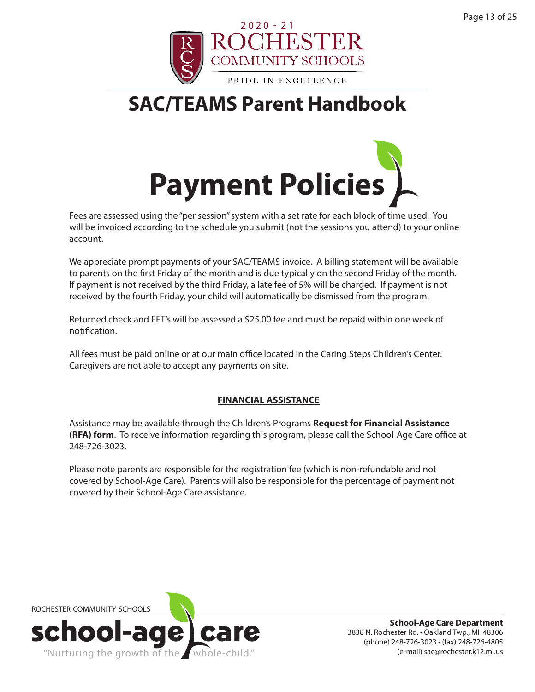



Fees are assessed using the "per session" system with a set rate for each block of time used. You will be invoiced according to the schedule you submit (not the sessions you attend) to your online account.

We appreciate prompt payments of your SAC/TEAMS invoice. A billing statement will be available to parents on the first Friday of the month and is due typically on the second Friday of the month. If payment is not received by the third Friday, a late fee of 5% will be charged. If payment is not received by the fourth Friday, your child will automatically be dismissed from the program.

Returned check and EFT's will be assessed a \$25.00 fee and must be repaid within one week of notification.

All fees must be paid online or at our main office located in the Caring Steps Children's Center. Caregivers are not able to accept any payments on site.

#### **FINANCIAL ASSISTANCE**

Assistance may be available through the Children's Programs **Request for Financial Assistance (RFA) form**. To receive information regarding this program, please call the School-Age Care office at 248-726-3023.

Please note parents are responsible for the registration fee (which is non-refundable and not covered by School-Age Care). Parents will also be responsible for the percentage of payment not covered by their School-Age Care assistance.

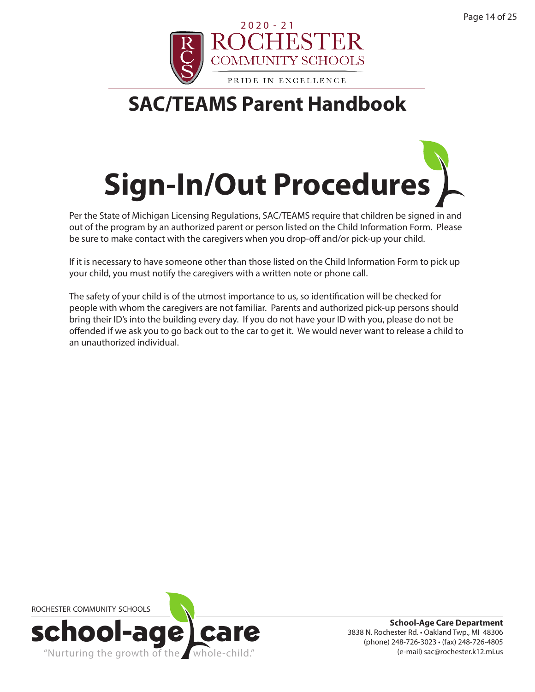



Per the State of Michigan Licensing Regulations, SAC/TEAMS require that children be signed in and out of the program by an authorized parent or person listed on the Child Information Form. Please be sure to make contact with the caregivers when you drop-off and/or pick-up your child.

If it is necessary to have someone other than those listed on the Child Information Form to pick up your child, you must notify the caregivers with a written note or phone call.

The safety of your child is of the utmost importance to us, so identification will be checked for people with whom the caregivers are not familiar. Parents and authorized pick-up persons should bring their ID's into the building every day. If you do not have your ID with you, please do not be offended if we ask you to go back out to the car to get it. We would never want to release a child to an unauthorized individual.

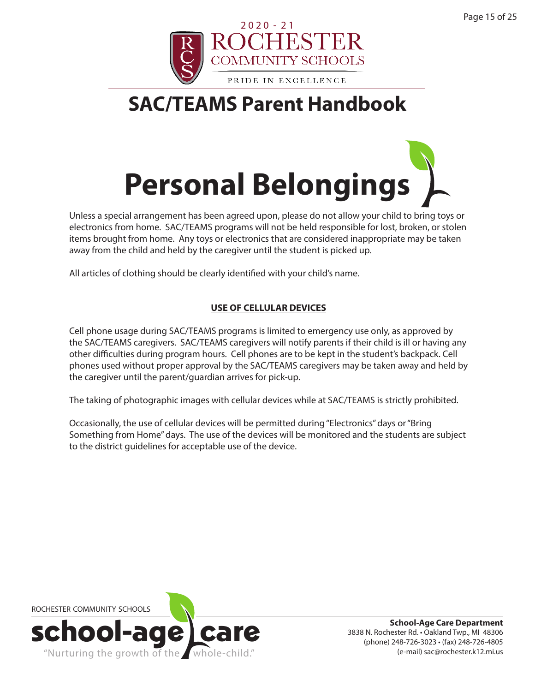



Unless a special arrangement has been agreed upon, please do not allow your child to bring toys or electronics from home. SAC/TEAMS programs will not be held responsible for lost, broken, or stolen items brought from home. Any toys or electronics that are considered inappropriate may be taken away from the child and held by the caregiver until the student is picked up.

All articles of clothing should be clearly identified with your child's name.

#### **USE OF CELLULAR DEVICES**

Cell phone usage during SAC/TEAMS programs is limited to emergency use only, as approved by the SAC/TEAMS caregivers. SAC/TEAMS caregivers will notify parents if their child is ill or having any other difficulties during program hours. Cell phones are to be kept in the student's backpack. Cell phones used without proper approval by the SAC/TEAMS caregivers may be taken away and held by the caregiver until the parent/guardian arrives for pick-up.

The taking of photographic images with cellular devices while at SAC/TEAMS is strictly prohibited.

Occasionally, the use of cellular devices will be permitted during "Electronics" days or "Bring Something from Home" days. The use of the devices will be monitored and the students are subject to the district guidelines for acceptable use of the device.

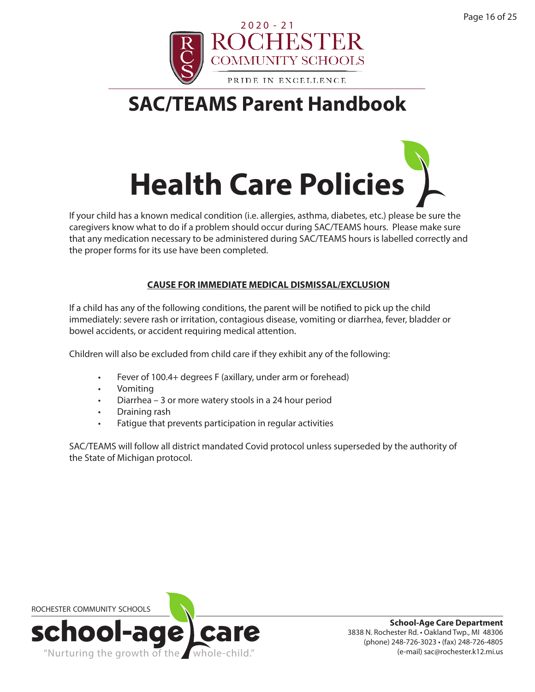



If your child has a known medical condition (i.e. allergies, asthma, diabetes, etc.) please be sure the caregivers know what to do if a problem should occur during SAC/TEAMS hours. Please make sure that any medication necessary to be administered during SAC/TEAMS hours is labelled correctly and the proper forms for its use have been completed.

#### **CAUSE FOR IMMEDIATE MEDICAL DISMISSAL/EXCLUSION**

If a child has any of the following conditions, the parent will be notified to pick up the child immediately: severe rash or irritation, contagious disease, vomiting or diarrhea, fever, bladder or bowel accidents, or accident requiring medical attention.

Children will also be excluded from child care if they exhibit any of the following:

- Fever of 100.4+ degrees F (axillary, under arm or forehead)
- Vomiting
- Diarrhea 3 or more watery stools in a 24 hour period
- Draining rash
- Fatigue that prevents participation in regular activities

SAC/TEAMS will follow all district mandated Covid protocol unless superseded by the authority of the State of Michigan protocol.

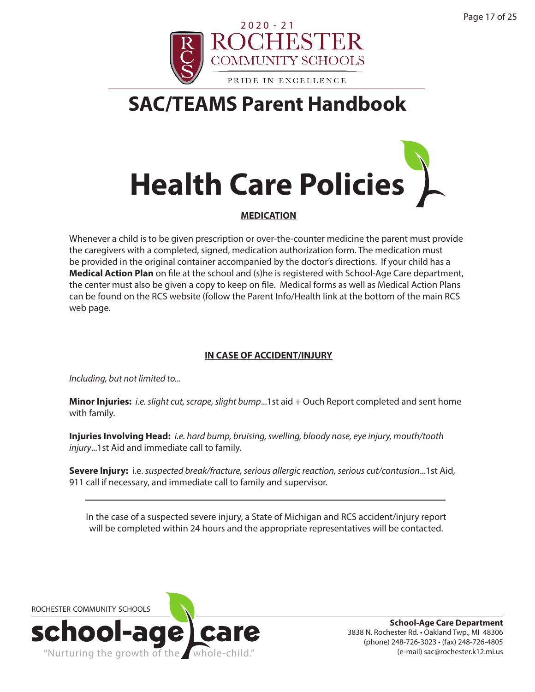



#### **MEDICATION**

Whenever a child is to be given prescription or over-the-counter medicine the parent must provide the caregivers with a completed, signed, medication authorization form. The medication must be provided in the original container accompanied by the doctor's directions. If your child has a **Medical Action Plan** on file at the school and (s)he is registered with School-Age Care department, the center must also be given a copy to keep on file. Medical forms as well as Medical Action Plans can be found on the RCS website (follow the Parent Info/Health link at the bottom of the main RCS web page.

#### **IN CASE OF ACCIDENT/INJURY**

*Including, but not limited to...*

**Minor Injuries:** *i.e. slight cut, scrape, slight bump*...1st aid + Ouch Report completed and sent home with family.

**Injuries Involving Head:** *i.e. hard bump, bruising, swelling, bloody nose, eye injury, mouth/tooth injury*...1st Aid and immediate call to family.

**Severe Injury:** i.e. *suspected break/fracture, serious allergic reaction, serious cut/contusion*...1st Aid, 911 call if necessary, and immediate call to family and supervisor.

In the case of a suspected severe injury, a State of Michigan and RCS accident/injury report will be completed within 24 hours and the appropriate representatives will be contacted.

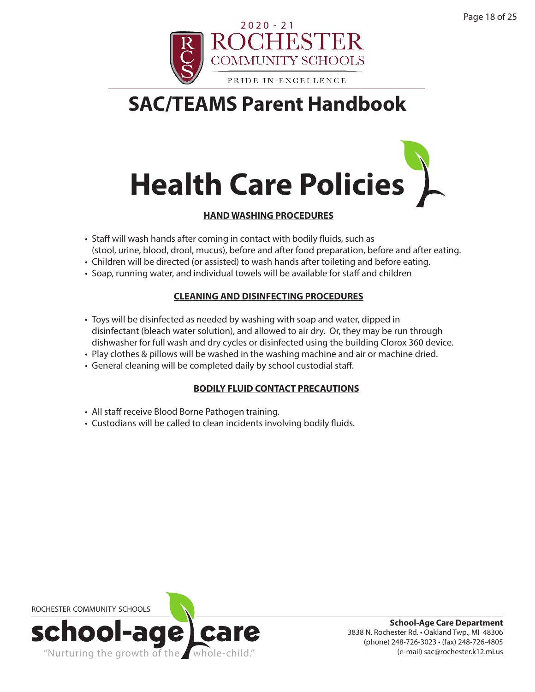



#### **HAND WASHING PROCEDURES**

- Staff will wash hands after coming in contact with bodily fluids, such as (stool, urine, blood, drool, mucus), before and after food preparation, before and after eating.
- Children will be directed (or assisted) to wash hands after toileting and before eating.
- Soap, running water, and individual towels will be available for staff and children

#### **CLEANING AND DISINFECTING PROCEDURES**

- Toys will be disinfected as needed by washing with soap and water, dipped in disinfectant (bleach water solution), and allowed to air dry. Or, they may be run through dishwasher for full wash and dry cycles or disinfected using the building Clorox 360 device.
- Play clothes & pillows will be washed in the washing machine and air or machine dried.
- General cleaning will be completed daily by school custodial staff.

#### **BODILY FLUID CONTACT PRECAUTIONS**

- All staff receive Blood Borne Pathogen training.
- Custodians will be called to clean incidents involving bodily fluids.

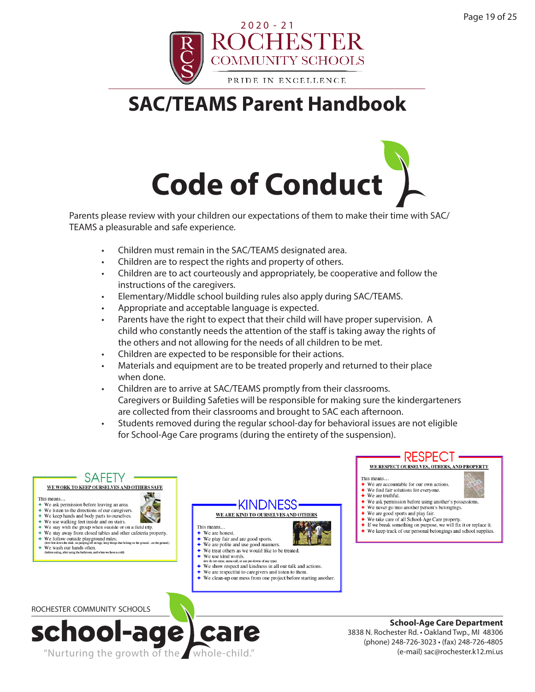



Parents please review with your children our expectations of them to make their time with SAC/ TEAMS a pleasurable and safe experience.

- Children must remain in the SAC/TEAMS designated area.
- Children are to respect the rights and property of others.
- Children are to act courteously and appropriately, be cooperative and follow the instructions of the caregivers.
- Elementary/Middle school building rules also apply during SAC/TEAMS.
- Appropriate and acceptable language is expected.
- Parents have the right to expect that their child will have proper supervision. A child who constantly needs the attention of the staff is taking away the rights of the others and not allowing for the needs of all children to be met.
- Children are expected to be responsible for their actions.
- Materials and equipment are to be treated properly and returned to their place when done.
- Children are to arrive at SAC/TEAMS promptly from their classrooms. Caregivers or Building Safeties will be responsible for making sure the kindergarteners are collected from their classrooms and brought to SAC each afternoon.
- Students removed during the regular school-day for behavioral issues are not eligible for School-Age Care programs (during the entirety of the suspension).

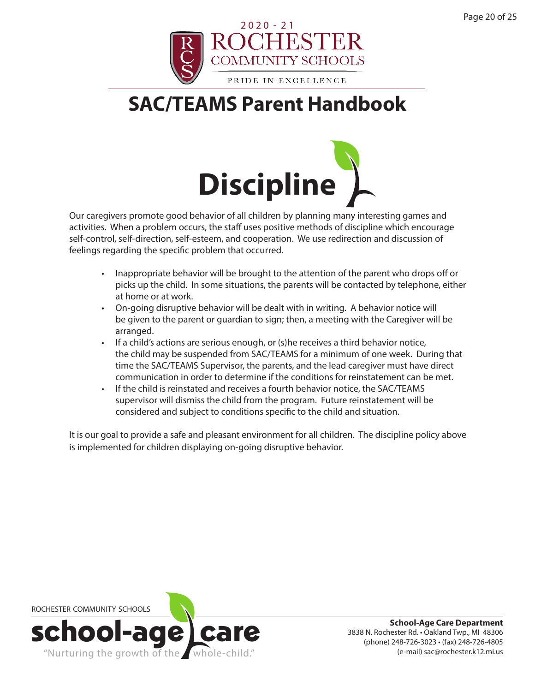



Our caregivers promote good behavior of all children by planning many interesting games and activities. When a problem occurs, the staff uses positive methods of discipline which encourage self-control, self-direction, self-esteem, and cooperation. We use redirection and discussion of feelings regarding the specific problem that occurred.

- Inappropriate behavior will be brought to the attention of the parent who drops off or picks up the child. In some situations, the parents will be contacted by telephone, either at home or at work.
- On-going disruptive behavior will be dealt with in writing. A behavior notice will be given to the parent or guardian to sign; then, a meeting with the Caregiver will be arranged.
- If a child's actions are serious enough, or (s)he receives a third behavior notice, the child may be suspended from SAC/TEAMS for a minimum of one week. During that time the SAC/TEAMS Supervisor, the parents, and the lead caregiver must have direct communication in order to determine if the conditions for reinstatement can be met.
- If the child is reinstated and receives a fourth behavior notice, the SAC/TEAMS supervisor will dismiss the child from the program. Future reinstatement will be considered and subject to conditions specific to the child and situation.

It is our goal to provide a safe and pleasant environment for all children. The discipline policy above is implemented for children displaying on-going disruptive behavior.

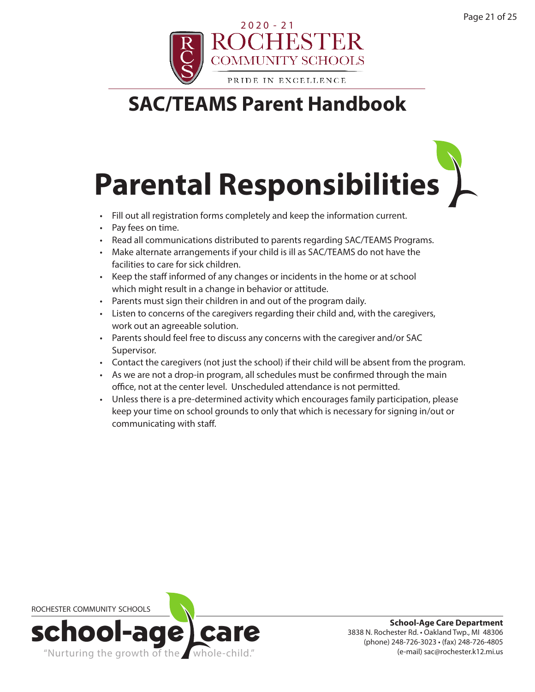

## **Parental Responsibilities**

- Fill out all registration forms completely and keep the information current.
- Pay fees on time.
- Read all communications distributed to parents regarding SAC/TEAMS Programs.
- Make alternate arrangements if your child is ill as SAC/TEAMS do not have the facilities to care for sick children.
- Keep the staff informed of any changes or incidents in the home or at school which might result in a change in behavior or attitude.
- Parents must sign their children in and out of the program daily.
- Listen to concerns of the caregivers regarding their child and, with the caregivers, work out an agreeable solution.
- Parents should feel free to discuss any concerns with the caregiver and/or SAC Supervisor.
- Contact the caregivers (not just the school) if their child will be absent from the program.
- As we are not a drop-in program, all schedules must be confirmed through the main office, not at the center level. Unscheduled attendance is not permitted.
- Unless there is a pre-determined activity which encourages family participation, please keep your time on school grounds to only that which is necessary for signing in/out or communicating with staff.

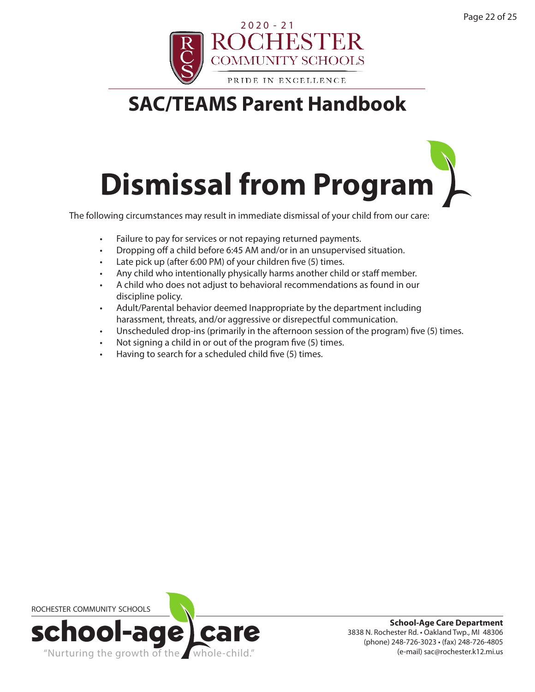

## **Dismissal from Program**

The following circumstances may result in immediate dismissal of your child from our care:

- Failure to pay for services or not repaying returned payments.
- Dropping off a child before 6:45 AM and/or in an unsupervised situation.
- Late pick up (after 6:00 PM) of your children five (5) times.
- Any child who intentionally physically harms another child or staff member.
- A child who does not adjust to behavioral recommendations as found in our discipline policy.
- Adult/Parental behavior deemed Inappropriate by the department including harassment, threats, and/or aggressive or disrepectful communication.
- Unscheduled drop-ins (primarily in the afternoon session of the program) five (5) times.
- Not signing a child in or out of the program five (5) times.
- Having to search for a scheduled child five (5) times.

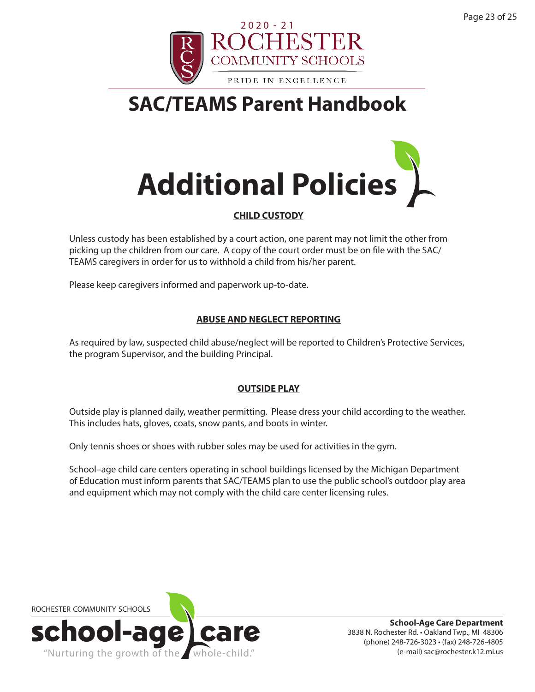



#### **CHILD CUSTODY**

Unless custody has been established by a court action, one parent may not limit the other from picking up the children from our care. A copy of the court order must be on file with the SAC/ TEAMS caregivers in order for us to withhold a child from his/her parent.

Please keep caregivers informed and paperwork up-to-date.

#### **ABUSE AND NEGLECT REPORTING**

As required by law, suspected child abuse/neglect will be reported to Children's Protective Services, the program Supervisor, and the building Principal.

#### **OUTSIDE PLAY**

Outside play is planned daily, weather permitting. Please dress your child according to the weather. This includes hats, gloves, coats, snow pants, and boots in winter.

Only tennis shoes or shoes with rubber soles may be used for activities in the gym.

School–age child care centers operating in school buildings licensed by the Michigan Department of Education must inform parents that SAC/TEAMS plan to use the public school's outdoor play area and equipment which may not comply with the child care center licensing rules.

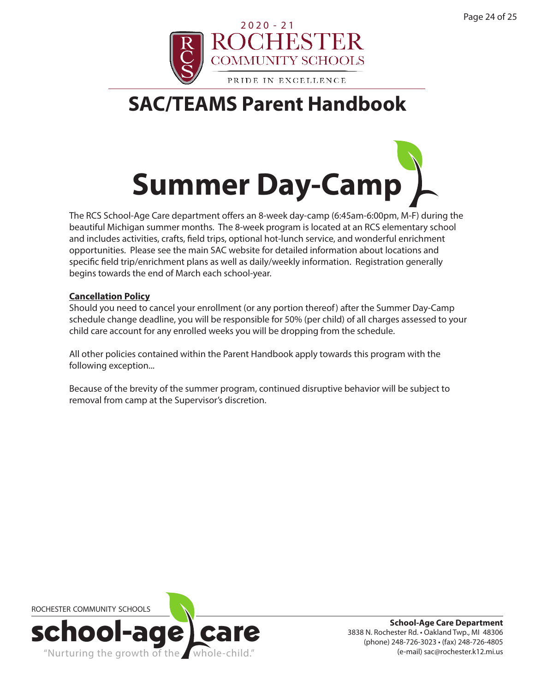



The RCS School-Age Care department offers an 8-week day-camp (6:45am-6:00pm, M-F) during the beautiful Michigan summer months. The 8-week program is located at an RCS elementary school and includes activities, crafts, field trips, optional hot-lunch service, and wonderful enrichment opportunities. Please see the main SAC website for detailed information about locations and specific field trip/enrichment plans as well as daily/weekly information. Registration generally begins towards the end of March each school-year.

#### **Cancellation Policy**

Should you need to cancel your enrollment (or any portion thereof) after the Summer Day-Camp schedule change deadline, you will be responsible for 50% (per child) of all charges assessed to your child care account for any enrolled weeks you will be dropping from the schedule.

All other policies contained within the Parent Handbook apply towards this program with the following exception...

Because of the brevity of the summer program, continued disruptive behavior will be subject to removal from camp at the Supervisor's discretion.